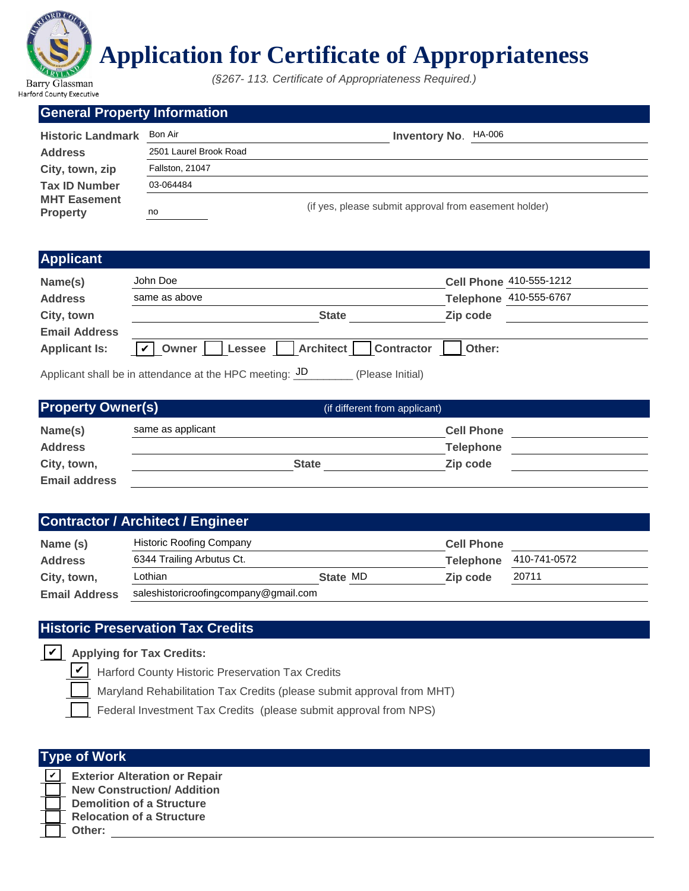

# **Application for Certificate of Appropriateness**

*(§267- 113. Certificate of Appropriateness Required.)*

#### **General Property Information**

| <b>Historic Landmark</b>               | Bon Air                | <b>Inventory No. HA-006</b>                           |  |
|----------------------------------------|------------------------|-------------------------------------------------------|--|
| <b>Address</b>                         | 2501 Laurel Brook Road |                                                       |  |
| City, town, zip                        | <b>Fallston, 21047</b> |                                                       |  |
| <b>Tax ID Number</b>                   | 03-064484              |                                                       |  |
| <b>MHT Easement</b><br><b>Property</b> | no                     | (if yes, please submit approval from easement holder) |  |

#### **Applicant**

| P                    |                                                                             |          |                         |
|----------------------|-----------------------------------------------------------------------------|----------|-------------------------|
| Name(s)              | John Doe                                                                    |          | Cell Phone 410-555-1212 |
| <b>Address</b>       | same as above                                                               |          | Telephone 410-555-6767  |
| City, town           | <b>State</b>                                                                | Zip code |                         |
| <b>Email Address</b> |                                                                             |          |                         |
| <b>Applicant Is:</b> | Lessee   Architect  <br>$\vert \mathbf{v} \vert$ Owner<br><b>Contractor</b> | Other:   |                         |
|                      | Applicant shall be in attendance at the HPC meeting: JD<br>(Please Initial) |          |                         |

| <b>Applicant Is:</b>     | $\vert\mathbf{v}\vert$ Owner                                                          | Lessee     Architect     Contractor | Other:            |              |
|--------------------------|---------------------------------------------------------------------------------------|-------------------------------------|-------------------|--------------|
|                          | Applicant shall be in attendance at the HPC meeting: $\overline{3D}$ (Please Initial) |                                     |                   |              |
| <b>Property Owner(s)</b> |                                                                                       | (if different from applicant)       |                   |              |
| Name(s)                  | same as applicant                                                                     |                                     | <b>Cell Phone</b> |              |
| <b>Address</b>           |                                                                                       |                                     | <b>Telephone</b>  |              |
| City, town,              |                                                                                       | <b>State</b>                        | Zip code          |              |
| <b>Email address</b>     |                                                                                       |                                     |                   |              |
|                          |                                                                                       |                                     |                   |              |
|                          | <b>Contractor / Architect / Engineer</b>                                              |                                     |                   |              |
| Name (s)                 | <b>Historic Roofing Company</b>                                                       |                                     | <b>Cell Phone</b> |              |
| <b>Address</b>           | 6344 Trailing Arbutus Ct.                                                             |                                     | <b>Telephone</b>  | 410-741-0572 |
| City, town,              | Lothian                                                                               | State MD                            | Zip code          | 20711        |
| <b>Email Address</b>     | saleshistoricroofingcompany@gmail.com                                                 |                                     |                   |              |

# **Contractor / Architect / Engineer**

| Name (s)             | <b>Historic Roofing Company</b>       |          | <b>Cell Phone</b> |              |
|----------------------|---------------------------------------|----------|-------------------|--------------|
| <b>Address</b>       | 6344 Trailing Arbutus Ct.             |          | <b>Telephone</b>  | 410-741-0572 |
| City, town,          | Lothian                               | State MD | Zip code          | 20711        |
| <b>Email Address</b> | saleshistoricroofingcompany@gmail.com |          |                   |              |

## **Historic Preservation Tax Credits**

**Y** Applying for Tax Credits:

Harford County Historic Preservation Tax Credits

Maryland Rehabilitation Tax Credits (please submit approval from MHT)

Federal Investment Tax Credits (please submit approval from NPS)

| <b>Type of Work</b> |                                      |  |  |  |
|---------------------|--------------------------------------|--|--|--|
|                     | <b>Exterior Alteration or Repair</b> |  |  |  |
|                     | <b>New Construction/ Addition</b>    |  |  |  |
|                     | <b>Demolition of a Structure</b>     |  |  |  |
|                     | <b>Relocation of a Structure</b>     |  |  |  |
|                     | Other:                               |  |  |  |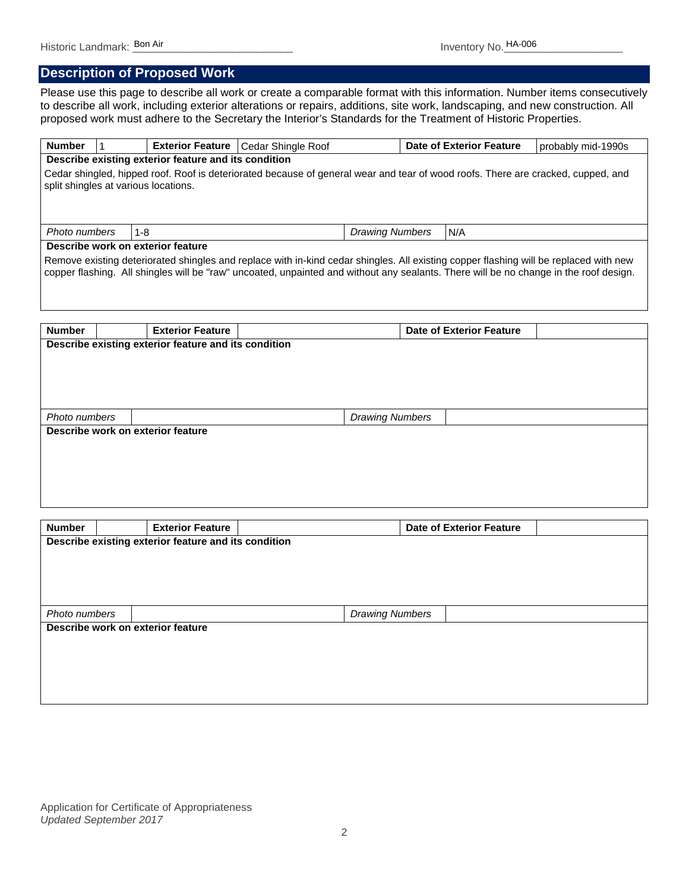## **Description of Proposed Work**

Please use this page to describe all work or create a comparable format with this information. Number items consecutively to describe all work, including exterior alterations or repairs, additions, site work, landscaping, and new construction. All proposed work must adhere to the Secretary the Interior's Standards for the Treatment of Historic Properties.

| <b>Number</b>                                                                                                                                                            |  |                                                      | Exterior Feature   Cedar Shingle Roof                                                                                                 |                        | <b>Date of Exterior Feature</b> | probably mid-1990s |
|--------------------------------------------------------------------------------------------------------------------------------------------------------------------------|--|------------------------------------------------------|---------------------------------------------------------------------------------------------------------------------------------------|------------------------|---------------------------------|--------------------|
|                                                                                                                                                                          |  | Describe existing exterior feature and its condition |                                                                                                                                       |                        |                                 |                    |
| Cedar shingled, hipped roof. Roof is deteriorated because of general wear and tear of wood roofs. There are cracked, cupped, and<br>split shingles at various locations. |  |                                                      |                                                                                                                                       |                        |                                 |                    |
| Photo numbers                                                                                                                                                            |  | $1 - 8$                                              |                                                                                                                                       | <b>Drawing Numbers</b> | N/A                             |                    |
|                                                                                                                                                                          |  | Describe work on exterior feature                    |                                                                                                                                       |                        |                                 |                    |
|                                                                                                                                                                          |  |                                                      | copper flashing. All shingles will be "raw" uncoated, unpainted and without any sealants. There will be no change in the roof design. |                        |                                 |                    |
| <b>Number</b>                                                                                                                                                            |  | <b>Exterior Feature</b>                              |                                                                                                                                       |                        | <b>Date of Exterior Feature</b> |                    |
|                                                                                                                                                                          |  | Describe existing exterior feature and its condition |                                                                                                                                       |                        |                                 |                    |
| Photo numbers                                                                                                                                                            |  |                                                      |                                                                                                                                       | <b>Drawing Numbers</b> |                                 |                    |
|                                                                                                                                                                          |  | Describe work on exterior feature                    |                                                                                                                                       |                        |                                 |                    |

| <b>Number</b> |                                                      | <b>Exterior Feature</b>           |  |                        | <b>Date of Exterior Feature</b> |  |  |
|---------------|------------------------------------------------------|-----------------------------------|--|------------------------|---------------------------------|--|--|
|               | Describe existing exterior feature and its condition |                                   |  |                        |                                 |  |  |
|               |                                                      |                                   |  |                        |                                 |  |  |
|               |                                                      |                                   |  |                        |                                 |  |  |
|               |                                                      |                                   |  |                        |                                 |  |  |
|               |                                                      |                                   |  |                        |                                 |  |  |
| Photo numbers |                                                      |                                   |  | <b>Drawing Numbers</b> |                                 |  |  |
|               |                                                      | Describe work on exterior feature |  |                        |                                 |  |  |
|               |                                                      |                                   |  |                        |                                 |  |  |
|               |                                                      |                                   |  |                        |                                 |  |  |
|               |                                                      |                                   |  |                        |                                 |  |  |
|               |                                                      |                                   |  |                        |                                 |  |  |
|               |                                                      |                                   |  |                        |                                 |  |  |

Application for Certificate of Appropriateness *Updated September 2017*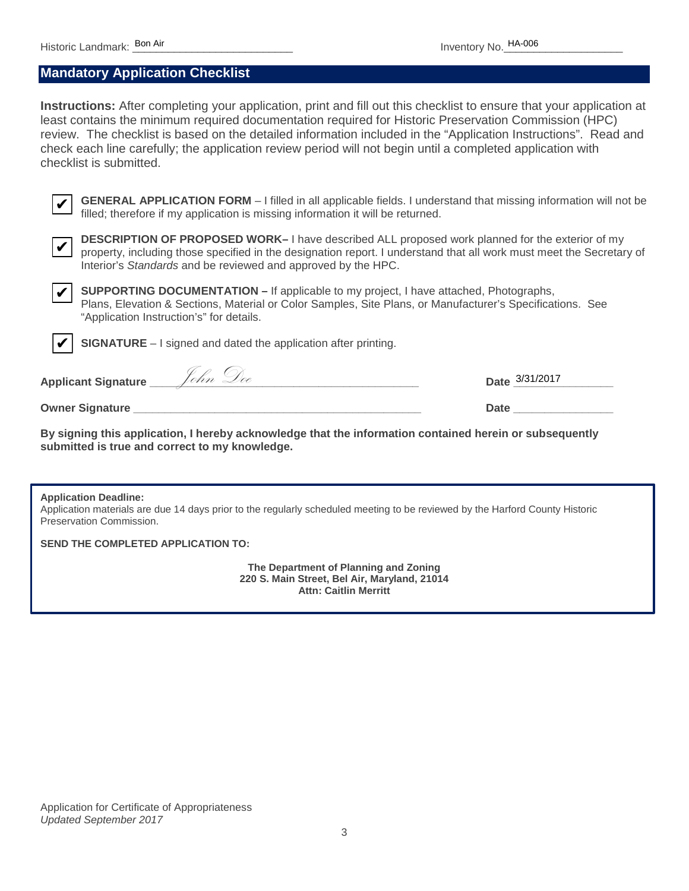#### **Mandatory Application Checklist**

**Instructions:** After completing your application, print and fill out this checklist to ensure that your application at least contains the minimum required documentation required for Historic Preservation Commission (HPC) review. The checklist is based on the detailed information included in the "Application Instructions". Read and check each line carefully; the application review period will not begin until a completed application with checklist is submitted. toric Landmark: **Bon Air** Inventory No. **HA-006**<br> **Air Accords**<br> **Air Accords and Air Structions:** After completing your application, print and fill out this checklist to ensure that you<br>
station the minimum required docu



**GENERAL APPLICATION FORM** – I filled in all applicable fields. I understand that missing information will not be filled; therefore if my application is missing information it will be returned.



**DESCRIPTION OF PROPOSED WORK–** I have described ALL proposed work planned for the exterior of my property, including those specified in the designation report. I understand that all work must meet the Secretary of Interior's *Standards* and be reviewed and approved by the HPC.



✔

**SUPPORTING DOCUMENTATION –** If applicable to my project, I have attached, Photographs, Plans, Elevation & Sections, Material or Color Samples, Site Plans, or Manufacturer's Specifications. See "Application Instruction's" for details.

**SIGNATURE** – I signed and dated the application after printing.

**Applicant Signature \_\_\_\_\_\_\_\_\_\_\_\_\_\_\_\_\_\_\_\_\_\_\_\_\_\_\_\_\_\_\_\_\_\_\_\_\_\_\_\_\_\_\_ Date \_\_\_\_\_\_\_\_\_\_\_\_\_\_\_\_** John Doe

**Owner Signature Date 2001** 

**By signing this application, I hereby acknowledge that the information contained herein or subsequently submitted is true and correct to my knowledge.**

#### **Application Deadline:**

Application materials are due 14 days prior to the regularly scheduled meeting to be reviewed by the Harford County Historic Preservation Commission.

**SEND THE COMPLETED APPLICATION TO:** 

**The Department of Planning and Zoning 220 S. Main Street, Bel Air, Maryland, 21014 Attn: Caitlin Merritt**

Application for Certificate of Appropriateness *Updated September 2017*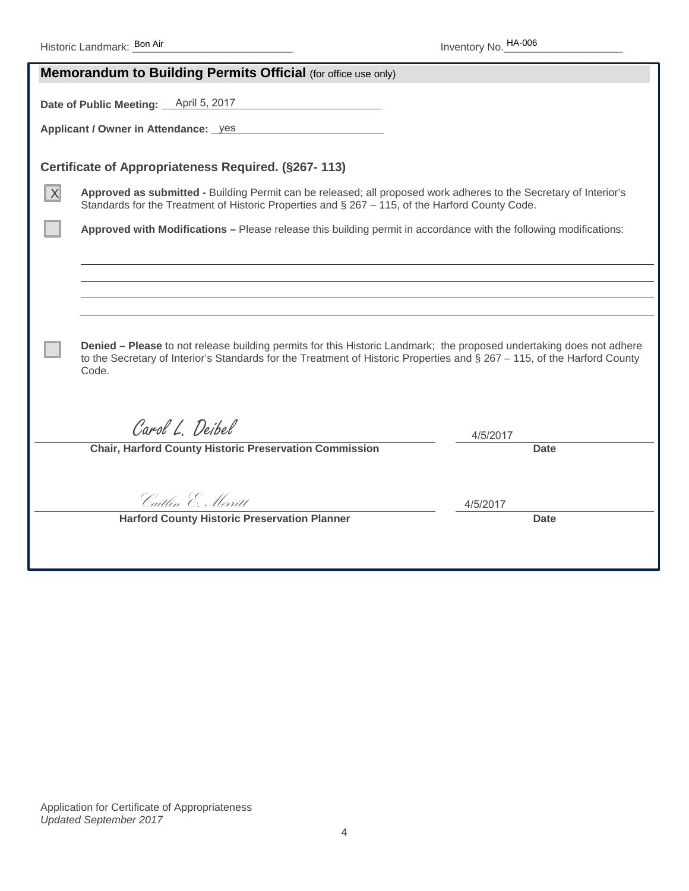|   | <b>Memorandum to Building Permits Official (for office use only)</b>                                                                                                                                                                                          |          |  |  |  |
|---|---------------------------------------------------------------------------------------------------------------------------------------------------------------------------------------------------------------------------------------------------------------|----------|--|--|--|
|   | April 5, 2017<br>Date of Public Meeting:                                                                                                                                                                                                                      |          |  |  |  |
|   |                                                                                                                                                                                                                                                               |          |  |  |  |
|   | Applicant / Owner in Attendance: _yes                                                                                                                                                                                                                         |          |  |  |  |
|   |                                                                                                                                                                                                                                                               |          |  |  |  |
|   | Certificate of Appropriateness Required. (§267-113)                                                                                                                                                                                                           |          |  |  |  |
| X | Approved as submitted - Building Permit can be released; all proposed work adheres to the Secretary of Interior's<br>Standards for the Treatment of Historic Properties and § 267 - 115, of the Harford County Code.                                          |          |  |  |  |
|   | Approved with Modifications - Please release this building permit in accordance with the following modifications:                                                                                                                                             |          |  |  |  |
|   |                                                                                                                                                                                                                                                               |          |  |  |  |
|   |                                                                                                                                                                                                                                                               |          |  |  |  |
|   |                                                                                                                                                                                                                                                               |          |  |  |  |
|   |                                                                                                                                                                                                                                                               |          |  |  |  |
|   | Denied - Please to not release building permits for this Historic Landmark; the proposed undertaking does not adhere<br>to the Secretary of Interior's Standards for the Treatment of Historic Properties and $\S 267 - 115$ , of the Harford County<br>Code. |          |  |  |  |
|   |                                                                                                                                                                                                                                                               |          |  |  |  |
|   | Carol L. Deibel                                                                                                                                                                                                                                               | 4/5/2017 |  |  |  |
|   | <b>Chair, Harford County Historic Preservation Commission</b>                                                                                                                                                                                                 | Date     |  |  |  |
|   |                                                                                                                                                                                                                                                               |          |  |  |  |
|   | Caitlin E. Merritt                                                                                                                                                                                                                                            | 4/5/2017 |  |  |  |
|   | <b>Harford County Historic Preservation Planner</b>                                                                                                                                                                                                           | Date     |  |  |  |
|   |                                                                                                                                                                                                                                                               |          |  |  |  |
|   |                                                                                                                                                                                                                                                               |          |  |  |  |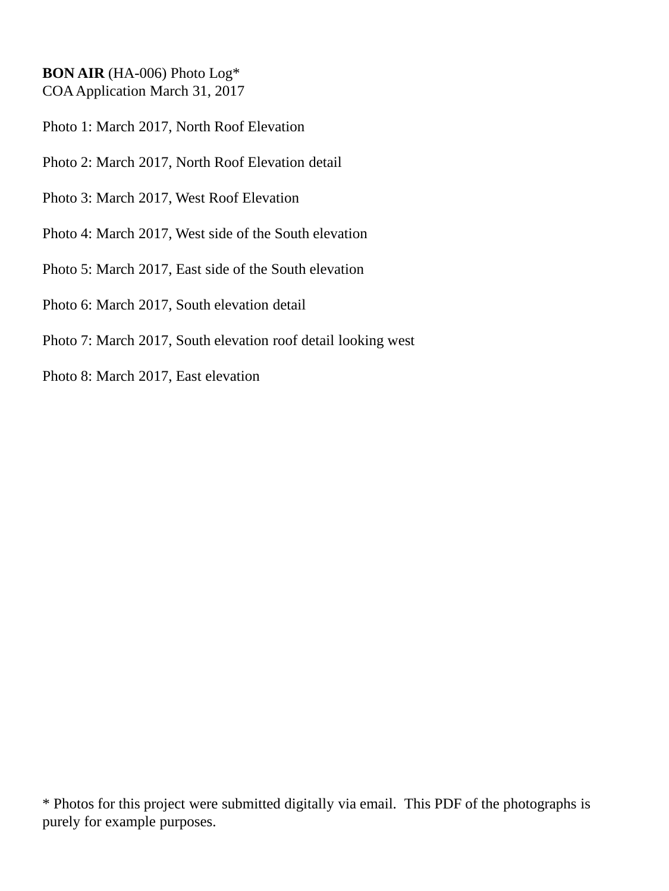#### **BON AIR** (HA-006) Photo Log\* COA Application March 31, 2017

- Photo 1: March 2017, North Roof Elevation
- Photo 2: March 2017, North Roof Elevation detail
- Photo 3: March 2017, West Roof Elevation
- Photo 4: March 2017, West side of the South elevation
- Photo 5: March 2017, East side of the South elevation
- Photo 6: March 2017, South elevation detail
- Photo 7: March 2017, South elevation roof detail looking west
- Photo 8: March 2017, East elevation

\* Photos for this project were submitted digitally via email. This PDF of the photographs is purely for example purposes.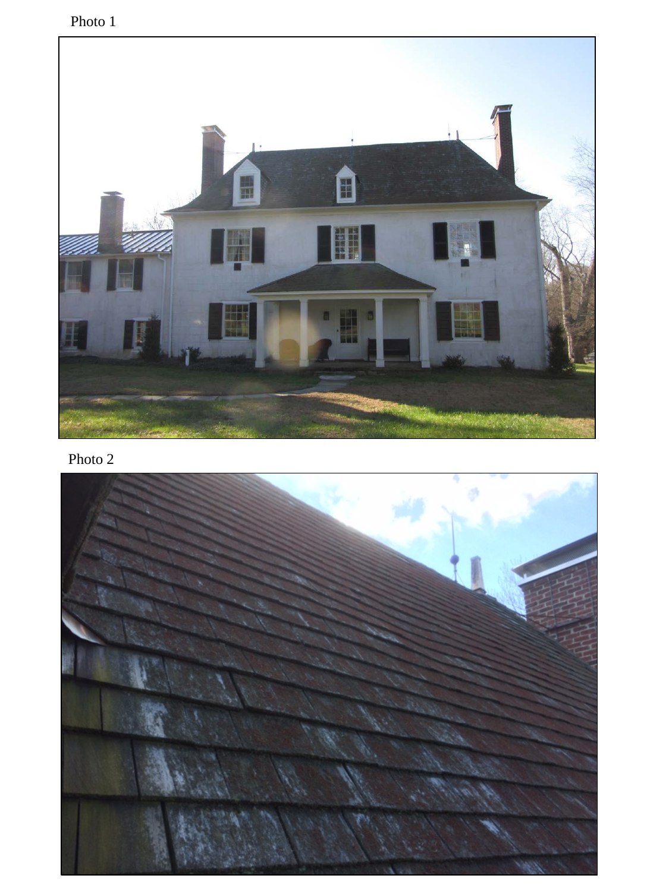Photo 1



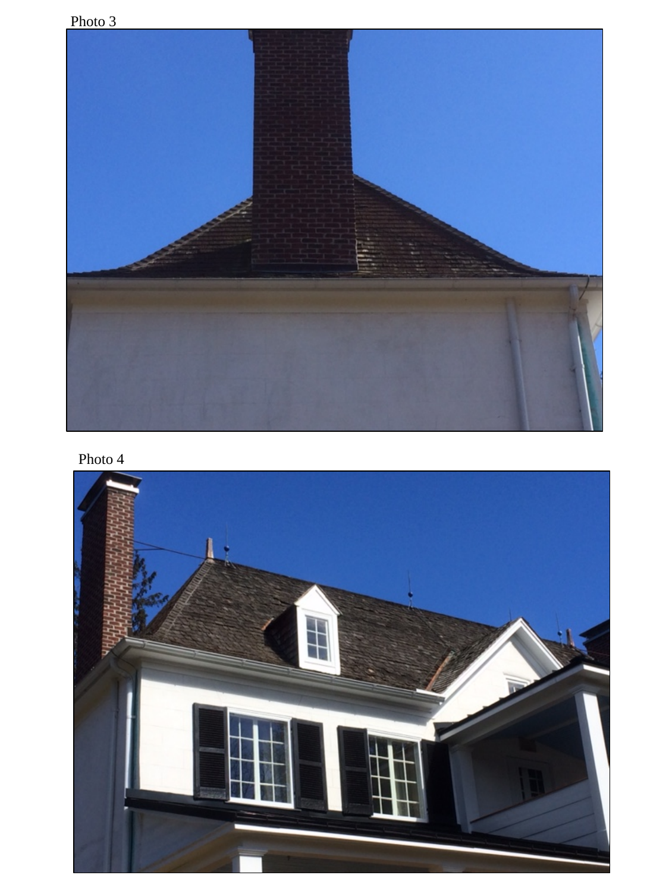

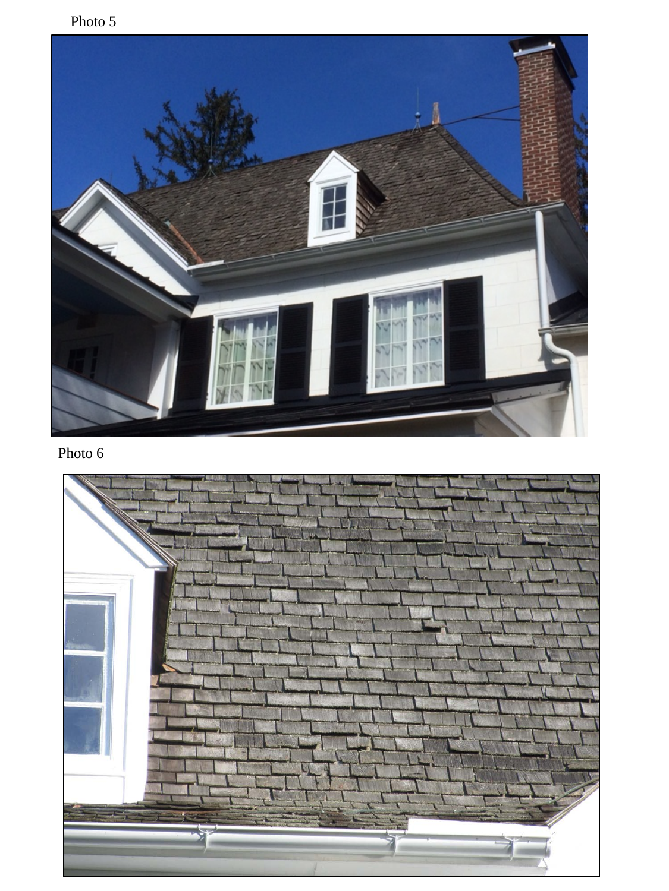Photo 5